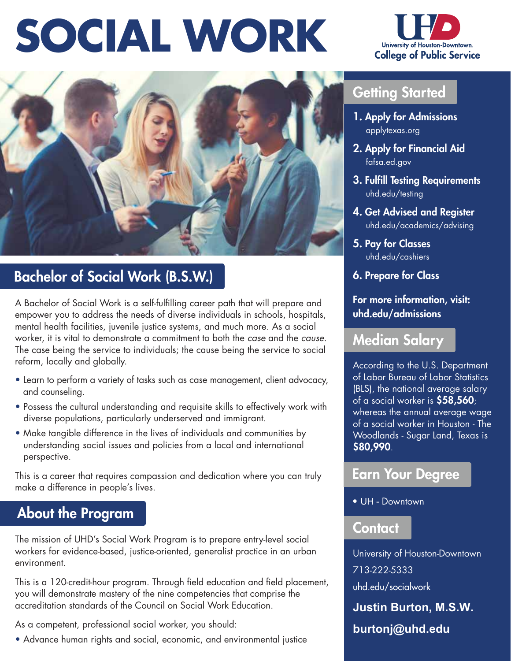## **SOCIAL WORK**





## Bachelor of Social Work (B.S.W.)

A Bachelor of Social Work is a self-fulfilling career path that will prepare and empower you to address the needs of diverse individuals in schools, hospitals, mental health facilities, juvenile justice systems, and much more. As a social worker, it is vital to demonstrate a commitment to both the *case* and the *cause*. The case being the service to individuals; the cause being the service to social reform, locally and globally.

- Learn to perform a variety of tasks such as case management, client advocacy, and counseling.
- Possess the cultural understanding and requisite skills to effectively work with diverse populations, particularly underserved and immigrant.
- Make tangible difference in the lives of individuals and communities by understanding social issues and policies from a local and international perspective.

This is a career that requires compassion and dedication where you can truly make a difference in people's lives.

## About the Program

The mission of UHD's Social Work Program is to prepare entry-level social workers for evidence-based, justice-oriented, generalist practice in an urban environment.

This is a 120-credit-hour program. Through field education and field placement, you will demonstrate mastery of the nine competencies that comprise the accreditation standards of the Council on Social Work Education.

As a competent, professional social worker, you should:

• Advance human rights and social, economic, and environmental justice

## Getting Started

- 1. Apply for Admissions [applytexas.org](https://applytexas.org)
- 2. Apply for Financial Aid [fafsa.ed.gov](https://fafsa.ed.gov)
- 3. Fulfill Testing Requirements [uhd.edu/testing](https://uhd.edu/testing)
- 4. Get Advised and Register [uhd.edu/academics/advising](https://uhd.edu/academics/advising)
- 5. Pay for Classes [uhd.edu/cashiers](https://uhd.edu/cashiers)
- 6. Prepare for Class

For more information, visit: [uhd.edu/admissions](https://uhd.edu/admissions) 

#### Median Salary

According to the U.S. Department of Labor Bureau of Labor Statistics (BLS), the national average salary of a social worker is \$58,560; whereas the annual average wage of a social worker in Houston - The Woodlands - Sugar Land, Texas is \$80,990.

### Earn Your Degree

• UH - Downtown

#### Contact

University of Houston-Downtown 713-222-5333 [uhd.edu/socialwork](https://uhd.edu/socialwork) **Justin Burton, M.S.W.**

**burtonj@uhd.edu**